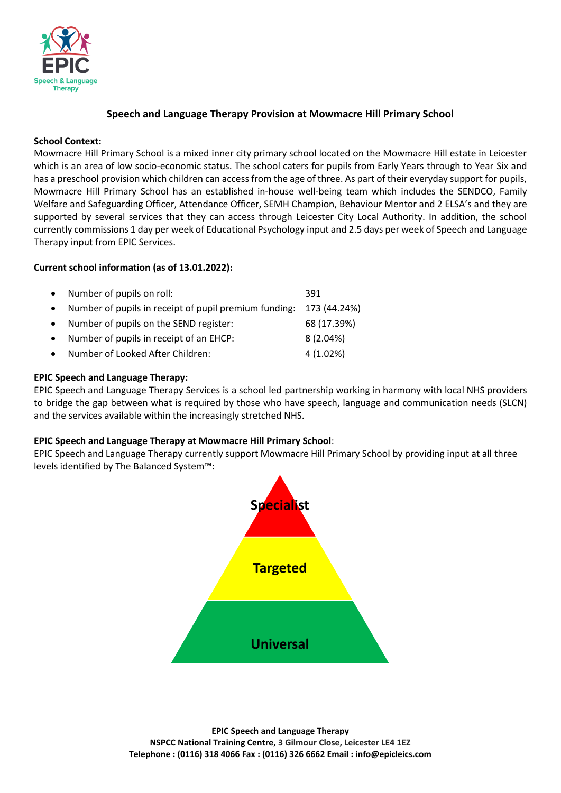

# **Speech and Language Therapy Provision at Mowmacre Hill Primary School**

### **School Context:**

Mowmacre Hill Primary School is a mixed inner city primary school located on the Mowmacre Hill estate in Leicester which is an area of low socio-economic status. The school caters for pupils from Early Years through to Year Six and has a preschool provision which children can access from the age of three. As part of their everyday support for pupils, Mowmacre Hill Primary School has an established in-house well-being team which includes the SENDCO, Family Welfare and Safeguarding Officer, Attendance Officer, SEMH Champion, Behaviour Mentor and 2 ELSA's and they are supported by several services that they can access through Leicester City Local Authority. In addition, the school currently commissions 1 day per week of Educational Psychology input and 2.5 days per week of Speech and Language Therapy input from EPIC Services.

## **Current school information (as of 13.01.2022):**

|           | • Number of pupils on roll:                                          | 391         |
|-----------|----------------------------------------------------------------------|-------------|
|           | • Number of pupils in receipt of pupil premium funding: 173 (44.24%) |             |
| $\bullet$ | Number of pupils on the SEND register:                               | 68 (17.39%) |
| $\bullet$ | Number of pupils in receipt of an EHCP:                              | 8(2.04%)    |
| $\bullet$ | Number of Looked After Children:                                     | 4(1.02%)    |

### **EPIC Speech and Language Therapy:**

EPIC Speech and Language Therapy Services is a school led partnership working in harmony with local NHS providers to bridge the gap between what is required by those who have speech, language and communication needs (SLCN) and the services available within the increasingly stretched NHS.

#### **EPIC Speech and Language Therapy at Mowmacre Hill Primary School**:

EPIC Speech and Language Therapy currently support Mowmacre Hill Primary School by providing input at all three levels identified by The Balanced System™:

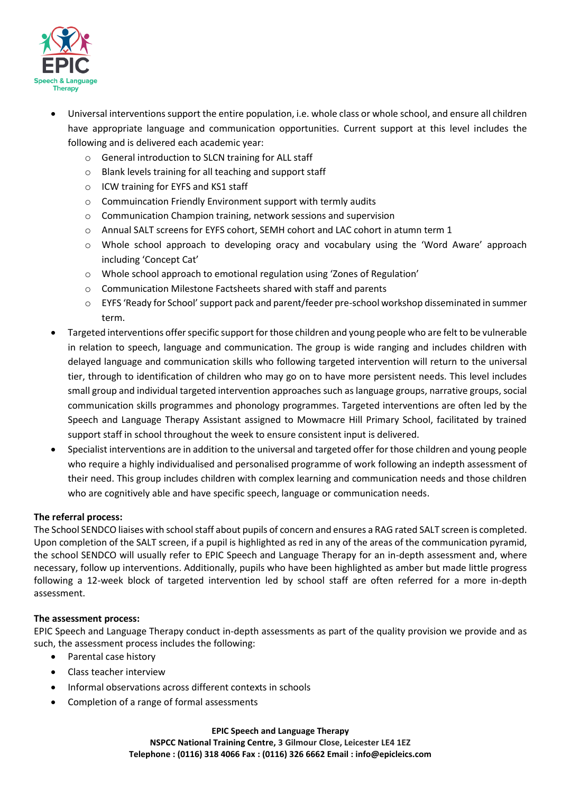

- Universal interventions support the entire population, i.e. whole class or whole school, and ensure all children have appropriate language and communication opportunities. Current support at this level includes the following and is delivered each academic year:
	- o General introduction to SLCN training for ALL staff
	- o Blank levels training for all teaching and support staff
	- o ICW training for EYFS and KS1 staff
	- o Commuincation Friendly Environment support with termly audits
	- o Communication Champion training, network sessions and supervision
	- o Annual SALT screens for EYFS cohort, SEMH cohort and LAC cohort in atumn term 1
	- o Whole school approach to developing oracy and vocabulary using the 'Word Aware' approach including 'Concept Cat'
	- o Whole school approach to emotional regulation using 'Zones of Regulation'
	- o Communication Milestone Factsheets shared with staff and parents
	- o EYFS 'Ready for School' support pack and parent/feeder pre-school workshop disseminated in summer term.
- Targeted interventions offer specific support for those children and young people who are felt to be vulnerable in relation to speech, language and communication. The group is wide ranging and includes children with delayed language and communication skills who following targeted intervention will return to the universal tier, through to identification of children who may go on to have more persistent needs. This level includes small group and individual targeted intervention approaches such as language groups, narrative groups, social communication skills programmes and phonology programmes. Targeted interventions are often led by the Speech and Language Therapy Assistant assigned to Mowmacre Hill Primary School, facilitated by trained support staff in school throughout the week to ensure consistent input is delivered.
- Specialist interventions are in addition to the universal and targeted offer for those children and young people who require a highly individualised and personalised programme of work following an indepth assessment of their need. This group includes children with complex learning and communication needs and those children who are cognitively able and have specific speech, language or communication needs.

## **The referral process:**

The School SENDCO liaises with school staff about pupils of concern and ensures a RAG rated SALT screen is completed. Upon completion of the SALT screen, if a pupil is highlighted as red in any of the areas of the communication pyramid, the school SENDCO will usually refer to EPIC Speech and Language Therapy for an in-depth assessment and, where necessary, follow up interventions. Additionally, pupils who have been highlighted as amber but made little progress following a 12-week block of targeted intervention led by school staff are often referred for a more in-depth assessment.

## **The assessment process:**

EPIC Speech and Language Therapy conduct in-depth assessments as part of the quality provision we provide and as such, the assessment process includes the following:

- Parental case history
- Class teacher interview
- Informal observations across different contexts in schools
- Completion of a range of formal assessments

**EPIC Speech and Language Therapy NSPCC National Training Centre, 3 Gilmour Close, Leicester LE4 1EZ Telephone : (0116) 318 4066 Fax : (0116) 326 6662 Email : info@epicleics.com**